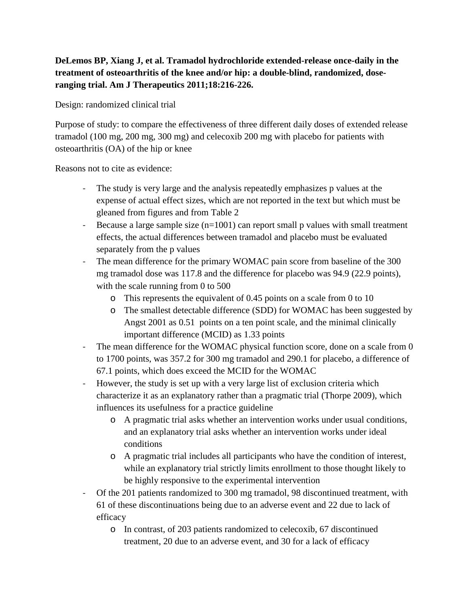## **DeLemos BP, Xiang J, et al. Tramadol hydrochloride extended-release once-daily in the treatment of osteoarthritis of the knee and/or hip: a double-blind, randomized, doseranging trial. Am J Therapeutics 2011;18:216-226.**

Design: randomized clinical trial

Purpose of study: to compare the effectiveness of three different daily doses of extended release tramadol (100 mg, 200 mg, 300 mg) and celecoxib 200 mg with placebo for patients with osteoarthritis (OA) of the hip or knee

Reasons not to cite as evidence:

- The study is very large and the analysis repeatedly emphasizes p values at the expense of actual effect sizes, which are not reported in the text but which must be gleaned from figures and from Table 2
- Because a large sample size (n=1001) can report small p values with small treatment effects, the actual differences between tramadol and placebo must be evaluated separately from the p values
- The mean difference for the primary WOMAC pain score from baseline of the 300 mg tramadol dose was 117.8 and the difference for placebo was 94.9 (22.9 points), with the scale running from 0 to 500
	- o This represents the equivalent of 0.45 points on a scale from 0 to 10
	- o The smallest detectable difference (SDD) for WOMAC has been suggested by Angst 2001 as 0.51 points on a ten point scale, and the minimal clinically important difference (MCID) as 1.33 points
- The mean difference for the WOMAC physical function score, done on a scale from 0 to 1700 points, was 357.2 for 300 mg tramadol and 290.1 for placebo, a difference of 67.1 points, which does exceed the MCID for the WOMAC
- However, the study is set up with a very large list of exclusion criteria which characterize it as an explanatory rather than a pragmatic trial (Thorpe 2009), which influences its usefulness for a practice guideline
	- o A pragmatic trial asks whether an intervention works under usual conditions, and an explanatory trial asks whether an intervention works under ideal conditions
	- o A pragmatic trial includes all participants who have the condition of interest, while an explanatory trial strictly limits enrollment to those thought likely to be highly responsive to the experimental intervention
- Of the 201 patients randomized to 300 mg tramadol, 98 discontinued treatment, with 61 of these discontinuations being due to an adverse event and 22 due to lack of efficacy
	- o In contrast, of 203 patients randomized to celecoxib, 67 discontinued treatment, 20 due to an adverse event, and 30 for a lack of efficacy